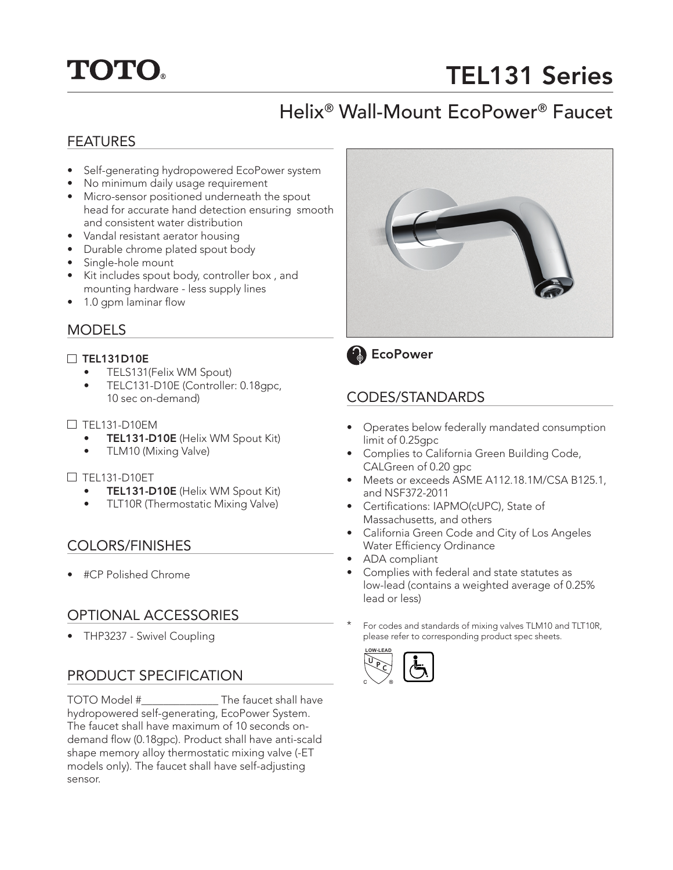# **TOTO.**

# TEL131 Series

# Helix® Wall-Mount EcoPower® Faucet

#### FEATURES

- Self-generating hydropowered EcoPower system
- No minimum daily usage requirement
- Micro-sensor positioned underneath the spout head for accurate hand detection ensuring smooth and consistent water distribution
- Vandal resistant aerator housing
- Durable chrome plated spout body
- Single-hole mount
- Kit includes spout body, controller box , and mounting hardware - less supply lines
- 1.0 gpm laminar flow

#### MODELS

#### □ TEL131D10E

- TELS131(Felix WM Spout)
- TELC131-D10E (Controller: 0.18gpc, 10 sec on-demand)

#### $\Box$  TEL131-D10EM

- TEL131-D10E (Helix WM Spout Kit)
- TLM10 (Mixing Valve)

#### TEL131-D10ET

- TEL131-D10E (Helix WM Spout Kit)
- TLT10R (Thermostatic Mixing Valve)

#### COLORS/FINISHES

• #CP Polished Chrome

### OPTIONAL ACCESSORIES

• THP3237 - Swivel Coupling

### PRODUCT SPECIFICATION

TOTO Model #\_\_\_\_\_\_\_\_\_\_\_\_\_\_ The faucet shall have hydropowered self-generating, EcoPower System. The faucet shall have maximum of 10 seconds ondemand flow (0.18gpc). Product shall have anti-scald shape memory alloy thermostatic mixing valve (-ET models only). The faucet shall have self-adjusting sensor.





# CODES/STANDARDS

- Operates below federally mandated consumption limit of 0.25gpc
- Complies to California Green Building Code, CALGreen of 0.20 gpc
- Meets or exceeds ASME A112.18.1M/CSA B125.1, and NSF372-2011
- Certifications: IAPMO(cUPC), State of Massachusetts, and others
- California Green Code and City of Los Angeles Water Efficiency Ordinance
- ADA compliant
- Complies with federal and state statutes as low-lead (contains a weighted average of 0.25% lead or less)
- For codes and standards of mixing valves TLM10 and TLT10R, please refer to corresponding product spec sheets.